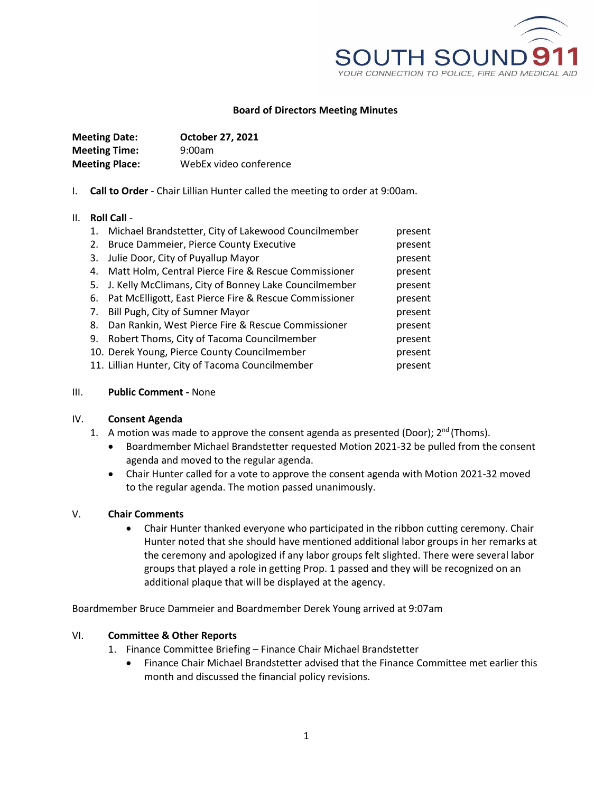

### **Board of Directors Meeting Minutes**

| <b>Meeting Date:</b>  | <b>October 27, 2021</b> |
|-----------------------|-------------------------|
| <b>Meeting Time:</b>  | 9:00am                  |
| <b>Meeting Place:</b> | WebEx video conference  |

I. **Call to Order** - Chair Lillian Hunter called the meeting to order at 9:00am.

#### II. **Roll Call** -

|    | 1. Michael Brandstetter, City of Lakewood Councilmember   | present |
|----|-----------------------------------------------------------|---------|
| 2. | <b>Bruce Dammeier, Pierce County Executive</b>            | present |
| 3. | Julie Door, City of Puyallup Mayor                        | present |
|    | 4. Matt Holm, Central Pierce Fire & Rescue Commissioner   | present |
|    | 5. J. Kelly McClimans, City of Bonney Lake Councilmember  | present |
|    | 6. Pat McElligott, East Pierce Fire & Rescue Commissioner | present |
|    | 7. Bill Pugh, City of Sumner Mayor                        | present |
|    | 8. Dan Rankin, West Pierce Fire & Rescue Commissioner     | present |
| 9. | Robert Thoms, City of Tacoma Councilmember                | present |
|    | 10. Derek Young, Pierce County Councilmember              | present |
|    | 11. Lillian Hunter, City of Tacoma Councilmember          | present |

#### III. **Public Comment -** None

#### IV. **Consent Agenda**

- 1. A motion was made to approve the consent agenda as presented (Door);  $2^{nd}$  (Thoms).
	- Boardmember Michael Brandstetter requested Motion 2021-32 be pulled from the consent agenda and moved to the regular agenda.
	- Chair Hunter called for a vote to approve the consent agenda with Motion 2021-32 moved to the regular agenda. The motion passed unanimously.

# V. **Chair Comments**

 Chair Hunter thanked everyone who participated in the ribbon cutting ceremony. Chair Hunter noted that she should have mentioned additional labor groups in her remarks at the ceremony and apologized if any labor groups felt slighted. There were several labor groups that played a role in getting Prop. 1 passed and they will be recognized on an additional plaque that will be displayed at the agency.

Boardmember Bruce Dammeier and Boardmember Derek Young arrived at 9:07am

#### VI. **Committee & Other Reports**

- 1. Finance Committee Briefing Finance Chair Michael Brandstetter
	- Finance Chair Michael Brandstetter advised that the Finance Committee met earlier this month and discussed the financial policy revisions.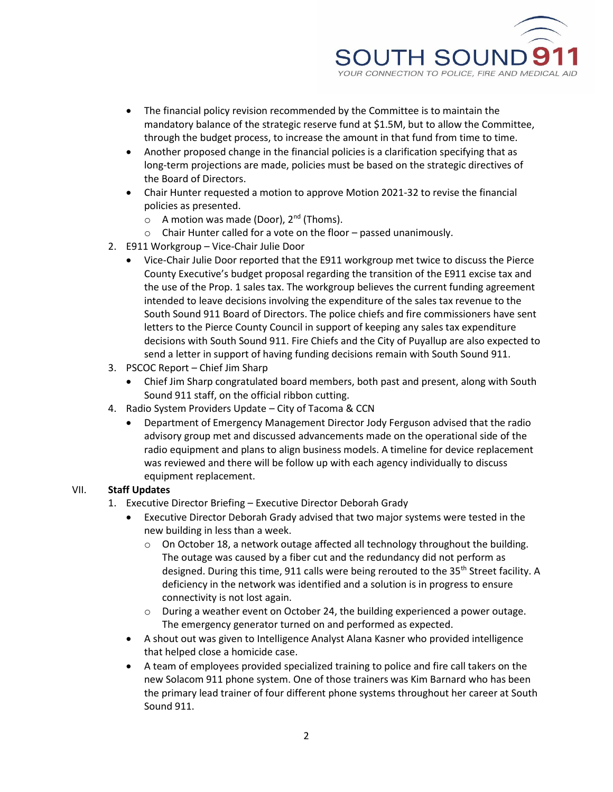

- The financial policy revision recommended by the Committee is to maintain the mandatory balance of the strategic reserve fund at \$1.5M, but to allow the Committee, through the budget process, to increase the amount in that fund from time to time.
- Another proposed change in the financial policies is a clarification specifying that as long-term projections are made, policies must be based on the strategic directives of the Board of Directors.
- Chair Hunter requested a motion to approve Motion 2021-32 to revise the financial policies as presented.
	- $\circ$  A motion was made (Door), 2<sup>nd</sup> (Thoms).
	- o Chair Hunter called for a vote on the floor passed unanimously.
- 2. E911 Workgroup Vice-Chair Julie Door
	- Vice-Chair Julie Door reported that the E911 workgroup met twice to discuss the Pierce County Executive's budget proposal regarding the transition of the E911 excise tax and the use of the Prop. 1 sales tax. The workgroup believes the current funding agreement intended to leave decisions involving the expenditure of the sales tax revenue to the South Sound 911 Board of Directors. The police chiefs and fire commissioners have sent letters to the Pierce County Council in support of keeping any sales tax expenditure decisions with South Sound 911. Fire Chiefs and the City of Puyallup are also expected to send a letter in support of having funding decisions remain with South Sound 911.
- 3. PSCOC Report Chief Jim Sharp
	- Chief Jim Sharp congratulated board members, both past and present, along with South Sound 911 staff, on the official ribbon cutting.
- 4. Radio System Providers Update City of Tacoma & CCN
	- Department of Emergency Management Director Jody Ferguson advised that the radio advisory group met and discussed advancements made on the operational side of the radio equipment and plans to align business models. A timeline for device replacement was reviewed and there will be follow up with each agency individually to discuss equipment replacement.

# VII. **Staff Updates**

- 1. Executive Director Briefing Executive Director Deborah Grady
	- Executive Director Deborah Grady advised that two major systems were tested in the new building in less than a week.
		- $\circ$  On October 18, a network outage affected all technology throughout the building. The outage was caused by a fiber cut and the redundancy did not perform as designed. During this time, 911 calls were being rerouted to the 35<sup>th</sup> Street facility. A deficiency in the network was identified and a solution is in progress to ensure connectivity is not lost again.
		- $\circ$  During a weather event on October 24, the building experienced a power outage. The emergency generator turned on and performed as expected.
	- A shout out was given to Intelligence Analyst Alana Kasner who provided intelligence that helped close a homicide case.
	- A team of employees provided specialized training to police and fire call takers on the new Solacom 911 phone system. One of those trainers was Kim Barnard who has been the primary lead trainer of four different phone systems throughout her career at South Sound 911.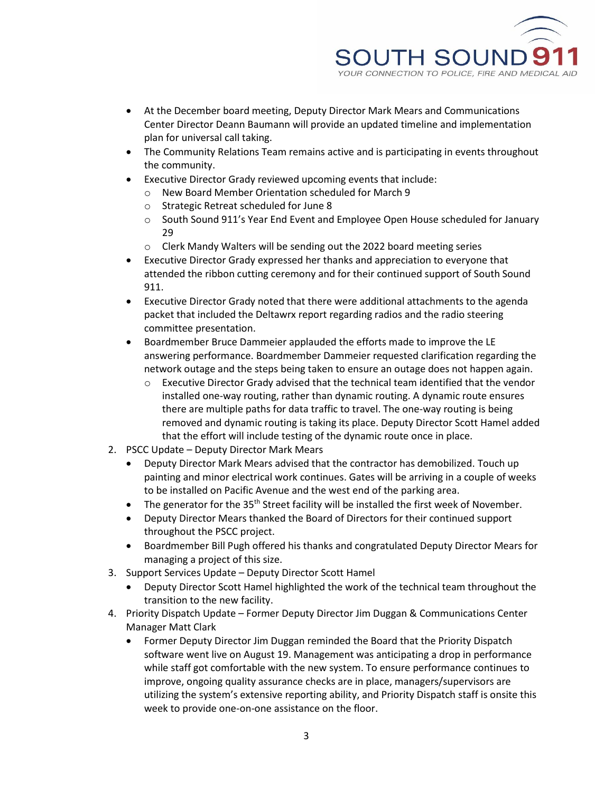

- At the December board meeting, Deputy Director Mark Mears and Communications Center Director Deann Baumann will provide an updated timeline and implementation plan for universal call taking.
- The Community Relations Team remains active and is participating in events throughout the community.
- Executive Director Grady reviewed upcoming events that include:
	- o New Board Member Orientation scheduled for March 9
		- o Strategic Retreat scheduled for June 8
		- $\circ$  South Sound 911's Year End Event and Employee Open House scheduled for January 29
		- o Clerk Mandy Walters will be sending out the 2022 board meeting series
- Executive Director Grady expressed her thanks and appreciation to everyone that attended the ribbon cutting ceremony and for their continued support of South Sound 911.
- Executive Director Grady noted that there were additional attachments to the agenda packet that included the Deltawrx report regarding radios and the radio steering committee presentation.
- Boardmember Bruce Dammeier applauded the efforts made to improve the LE answering performance. Boardmember Dammeier requested clarification regarding the network outage and the steps being taken to ensure an outage does not happen again.
	- $\circ$  Executive Director Grady advised that the technical team identified that the vendor installed one-way routing, rather than dynamic routing. A dynamic route ensures there are multiple paths for data traffic to travel. The one-way routing is being removed and dynamic routing is taking its place. Deputy Director Scott Hamel added that the effort will include testing of the dynamic route once in place.
- 2. PSCC Update Deputy Director Mark Mears
	- Deputy Director Mark Mears advised that the contractor has demobilized. Touch up painting and minor electrical work continues. Gates will be arriving in a couple of weeks to be installed on Pacific Avenue and the west end of the parking area.
	- $\bullet$  The generator for the 35<sup>th</sup> Street facility will be installed the first week of November.
	- Deputy Director Mears thanked the Board of Directors for their continued support throughout the PSCC project.
	- Boardmember Bill Pugh offered his thanks and congratulated Deputy Director Mears for managing a project of this size.
- 3. Support Services Update Deputy Director Scott Hamel
	- Deputy Director Scott Hamel highlighted the work of the technical team throughout the transition to the new facility.
- 4. Priority Dispatch Update Former Deputy Director Jim Duggan & Communications Center Manager Matt Clark
	- Former Deputy Director Jim Duggan reminded the Board that the Priority Dispatch software went live on August 19. Management was anticipating a drop in performance while staff got comfortable with the new system. To ensure performance continues to improve, ongoing quality assurance checks are in place, managers/supervisors are utilizing the system's extensive reporting ability, and Priority Dispatch staff is onsite this week to provide one-on-one assistance on the floor.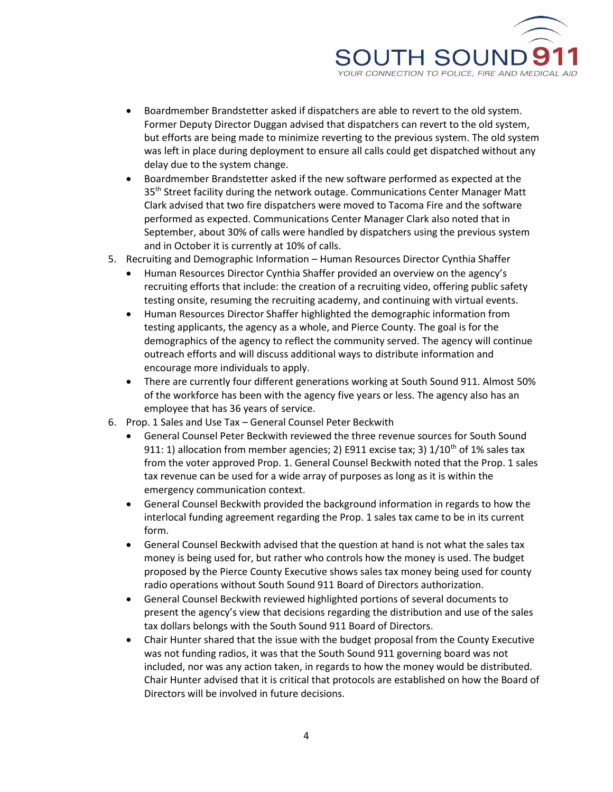

- Boardmember Brandstetter asked if dispatchers are able to revert to the old system. Former Deputy Director Duggan advised that dispatchers can revert to the old system, but efforts are being made to minimize reverting to the previous system. The old system was left in place during deployment to ensure all calls could get dispatched without any delay due to the system change.
- Boardmember Brandstetter asked if the new software performed as expected at the 35<sup>th</sup> Street facility during the network outage. Communications Center Manager Matt Clark advised that two fire dispatchers were moved to Tacoma Fire and the software performed as expected. Communications Center Manager Clark also noted that in September, about 30% of calls were handled by dispatchers using the previous system and in October it is currently at 10% of calls.
- 5. Recruiting and Demographic Information Human Resources Director Cynthia Shaffer
	- Human Resources Director Cynthia Shaffer provided an overview on the agency's recruiting efforts that include: the creation of a recruiting video, offering public safety testing onsite, resuming the recruiting academy, and continuing with virtual events.
	- Human Resources Director Shaffer highlighted the demographic information from testing applicants, the agency as a whole, and Pierce County. The goal is for the demographics of the agency to reflect the community served. The agency will continue outreach efforts and will discuss additional ways to distribute information and encourage more individuals to apply.
	- There are currently four different generations working at South Sound 911. Almost 50% of the workforce has been with the agency five years or less. The agency also has an employee that has 36 years of service.
- 6. Prop. 1 Sales and Use Tax General Counsel Peter Beckwith
	- General Counsel Peter Beckwith reviewed the three revenue sources for South Sound 911: 1) allocation from member agencies; 2) E911 excise tax; 3)  $1/10^{th}$  of 1% sales tax from the voter approved Prop. 1. General Counsel Beckwith noted that the Prop. 1 sales tax revenue can be used for a wide array of purposes as long as it is within the emergency communication context.
	- General Counsel Beckwith provided the background information in regards to how the interlocal funding agreement regarding the Prop. 1 sales tax came to be in its current form.
	- General Counsel Beckwith advised that the question at hand is not what the sales tax money is being used for, but rather who controls how the money is used. The budget proposed by the Pierce County Executive shows sales tax money being used for county radio operations without South Sound 911 Board of Directors authorization.
	- General Counsel Beckwith reviewed highlighted portions of several documents to present the agency's view that decisions regarding the distribution and use of the sales tax dollars belongs with the South Sound 911 Board of Directors.
	- Chair Hunter shared that the issue with the budget proposal from the County Executive was not funding radios, it was that the South Sound 911 governing board was not included, nor was any action taken, in regards to how the money would be distributed. Chair Hunter advised that it is critical that protocols are established on how the Board of Directors will be involved in future decisions.